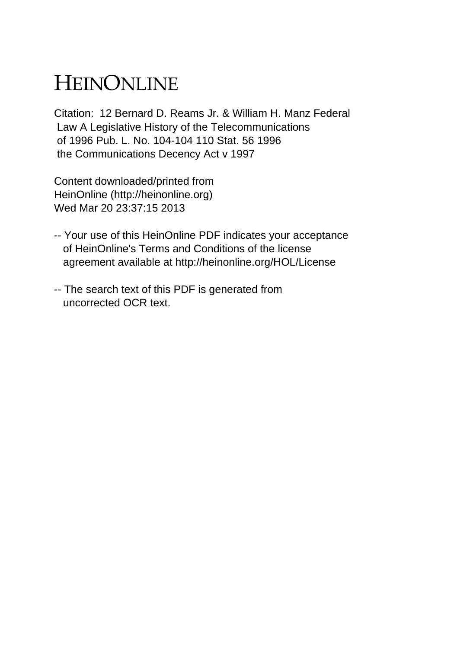## HEINONLINE

Citation: 12 Bernard D. Reams Jr. & William H. Manz Federal Law A Legislative History of the Telecommunications of 1996 Pub. L. No. 104-104 110 Stat. 56 1996 the Communications Decency Act v 1997

Content downloaded/printed from HeinOnline (http://heinonline.org) Wed Mar 20 23:37:15 2013

- -- Your use of this HeinOnline PDF indicates your acceptance of HeinOnline's Terms and Conditions of the license agreement available at http://heinonline.org/HOL/License
- -- The search text of this PDF is generated from uncorrected OCR text.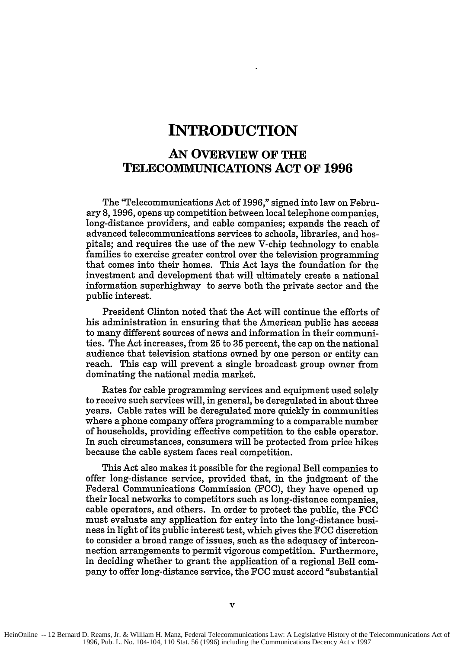## **INTRODUCTION**

## **AN OVERVIEW OF THE TELECOMMUNICATIONS ACT OF 1996**

The "Telecommunications Act of 1996," signed into law on February **8, 1996,** opens up competition between local telephone companies, long-distance providers, and cable companies; expands the reach of advanced telecommunications services to schools, libraries, and hospitals; and requires the use of the new V-chip technology to enable families to exercise greater control over the television programming that comes into their homes. This Act lays the foundation for the investment and development that will ultimately create a national information superhighway to serve both the private sector and the public interest.

President Clinton noted that the Act will continue the efforts of his administration in ensuring that the American public has access to many different sources of news and information in their communities. The Act increases, from **25** to **35** percent, the cap on the national audience that television stations owned **by** one person or entity can reach. This cap will prevent a single broadcast group owner from dominating the national media market.

Rates for cable programming services and equipment used solely to receive such services will, in general, be deregulated in about three years. Cable rates will be deregulated more quickly in communities where a phone company offers programming to a comparable number of households, providing effective competition to the cable operator. In such circumstances, consumers will be protected from price hikes because the cable system faces real competition.

This Act also makes it possible for the regional Bell companies to offer long-distance service, provided that, in the judgment of the Federal Communications Commission **(FCC),** they have opened up their local networks to competitors such as long-distance companies, cable operators, and others. In order to protect the public, the **FCC** must evaluate any application for entry into the long-distance business in light of its public interest test, which gives the **FCC** discretion to consider a broad range of issues, such as the adequacy of interconnection arrangements to permit vigorous competition. Furthermore, in deciding whether to grant the application of a regional Bell company to offer long-distance service, the FCC must accord "substantial